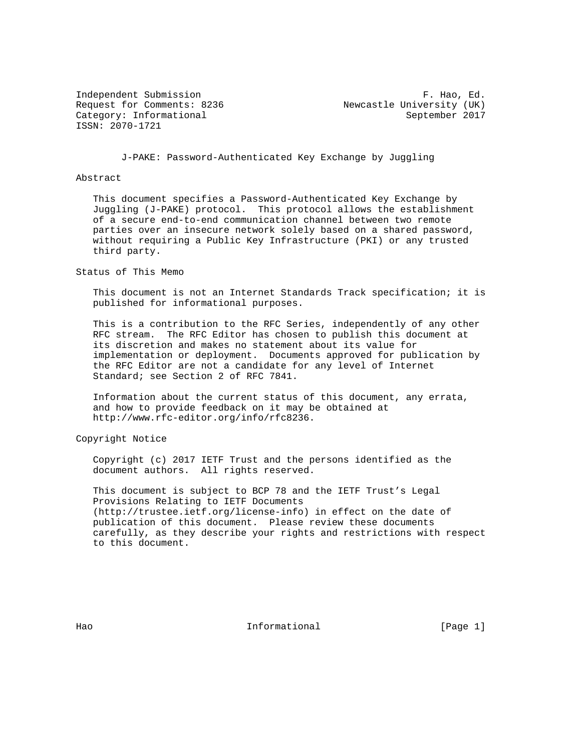ISSN: 2070-1721

Independent Submission **F. Hao, Ed.** Request for Comments: 8236 Newcastle University (UK) Category: Informational September 2017

J-PAKE: Password-Authenticated Key Exchange by Juggling

#### Abstract

 This document specifies a Password-Authenticated Key Exchange by Juggling (J-PAKE) protocol. This protocol allows the establishment of a secure end-to-end communication channel between two remote parties over an insecure network solely based on a shared password, without requiring a Public Key Infrastructure (PKI) or any trusted third party.

Status of This Memo

 This document is not an Internet Standards Track specification; it is published for informational purposes.

 This is a contribution to the RFC Series, independently of any other RFC stream. The RFC Editor has chosen to publish this document at its discretion and makes no statement about its value for implementation or deployment. Documents approved for publication by the RFC Editor are not a candidate for any level of Internet Standard; see Section 2 of RFC 7841.

 Information about the current status of this document, any errata, and how to provide feedback on it may be obtained at http://www.rfc-editor.org/info/rfc8236.

Copyright Notice

 Copyright (c) 2017 IETF Trust and the persons identified as the document authors. All rights reserved.

 This document is subject to BCP 78 and the IETF Trust's Legal Provisions Relating to IETF Documents (http://trustee.ietf.org/license-info) in effect on the date of publication of this document. Please review these documents carefully, as they describe your rights and restrictions with respect to this document.

Hao Informational (Page 1)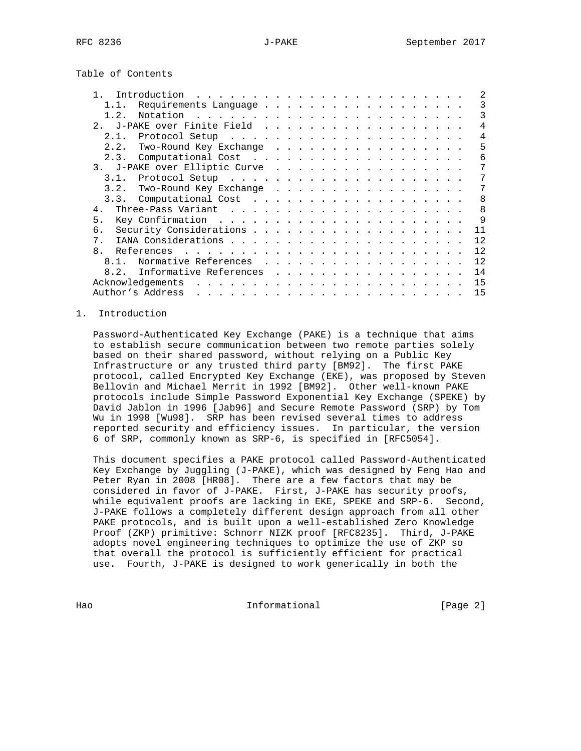Table of Contents

|                | Introduction                                                                                                                              |
|----------------|-------------------------------------------------------------------------------------------------------------------------------------------|
|                | 3<br>Requirements Language                                                                                                                |
| 1.2.           | ς                                                                                                                                         |
| 2.             | J-PAKE over Finite Field<br>4                                                                                                             |
| 2.1.           |                                                                                                                                           |
| 2.2.           | Two-Round Key Exchange<br>5                                                                                                               |
| 2.3.           | 6                                                                                                                                         |
|                | 3. J-PAKE over Elliptic Curve                                                                                                             |
| 3.1.           |                                                                                                                                           |
| 3.2.           | Two-Round Key Exchange<br>7                                                                                                               |
|                | $\mathsf{R}$                                                                                                                              |
| 4.             | $\mathsf{R}$                                                                                                                              |
| 5.             | 9                                                                                                                                         |
| б.             | 11                                                                                                                                        |
| $7$ .          | 12                                                                                                                                        |
| 8 <sub>1</sub> | 12                                                                                                                                        |
| $8.1$ .        | 12<br>Normative References                                                                                                                |
| 8.2.           | Informative References<br>14                                                                                                              |
|                | Acknowledgements<br>15                                                                                                                    |
|                | Author's Address<br>15<br>and a complete that the complete state of the complete state of the complete state of the complete state of the |

## 1. Introduction

 Password-Authenticated Key Exchange (PAKE) is a technique that aims to establish secure communication between two remote parties solely based on their shared password, without relying on a Public Key Infrastructure or any trusted third party [BM92]. The first PAKE protocol, called Encrypted Key Exchange (EKE), was proposed by Steven Bellovin and Michael Merrit in 1992 [BM92]. Other well-known PAKE protocols include Simple Password Exponential Key Exchange (SPEKE) by David Jablon in 1996 [Jab96] and Secure Remote Password (SRP) by Tom Wu in 1998 [Wu98]. SRP has been revised several times to address reported security and efficiency issues. In particular, the version 6 of SRP, commonly known as SRP-6, is specified in [RFC5054].

 This document specifies a PAKE protocol called Password-Authenticated Key Exchange by Juggling (J-PAKE), which was designed by Feng Hao and Peter Ryan in 2008 [HR08]. There are a few factors that may be considered in favor of J-PAKE. First, J-PAKE has security proofs, while equivalent proofs are lacking in EKE, SPEKE and SRP-6. Second, J-PAKE follows a completely different design approach from all other PAKE protocols, and is built upon a well-established Zero Knowledge Proof (ZKP) primitive: Schnorr NIZK proof [RFC8235]. Third, J-PAKE adopts novel engineering techniques to optimize the use of ZKP so that overall the protocol is sufficiently efficient for practical use. Fourth, J-PAKE is designed to work generically in both the

Hao **Informational** Informational (Page 2)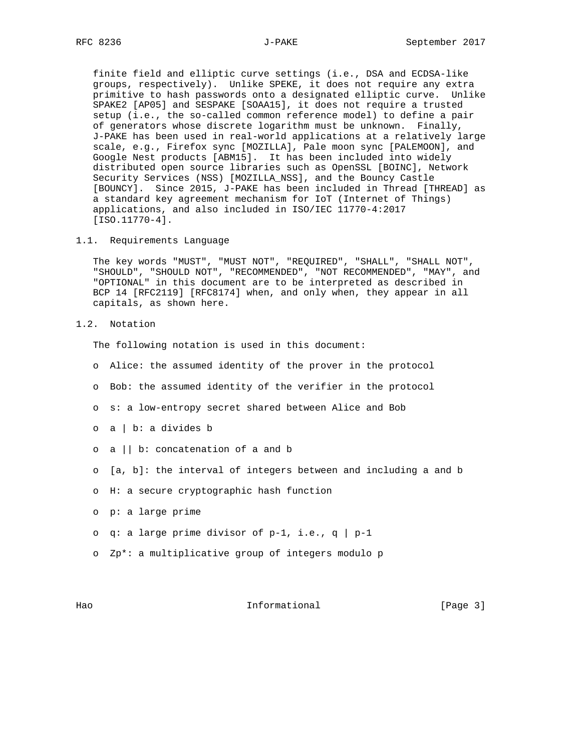finite field and elliptic curve settings (i.e., DSA and ECDSA-like groups, respectively). Unlike SPEKE, it does not require any extra primitive to hash passwords onto a designated elliptic curve. Unlike SPAKE2 [AP05] and SESPAKE [SOAA15], it does not require a trusted setup (i.e., the so-called common reference model) to define a pair of generators whose discrete logarithm must be unknown. Finally, J-PAKE has been used in real-world applications at a relatively large scale, e.g., Firefox sync [MOZILLA], Pale moon sync [PALEMOON], and Google Nest products [ABM15]. It has been included into widely distributed open source libraries such as OpenSSL [BOINC], Network Security Services (NSS) [MOZILLA\_NSS], and the Bouncy Castle [BOUNCY]. Since 2015, J-PAKE has been included in Thread [THREAD] as a standard key agreement mechanism for IoT (Internet of Things) applications, and also included in ISO/IEC 11770-4:2017 [ISO.11770-4].

1.1. Requirements Language

 The key words "MUST", "MUST NOT", "REQUIRED", "SHALL", "SHALL NOT", "SHOULD", "SHOULD NOT", "RECOMMENDED", "NOT RECOMMENDED", "MAY", and "OPTIONAL" in this document are to be interpreted as described in BCP 14 [RFC2119] [RFC8174] when, and only when, they appear in all capitals, as shown here.

1.2. Notation

The following notation is used in this document:

- o Alice: the assumed identity of the prover in the protocol
- o Bob: the assumed identity of the verifier in the protocol
- o s: a low-entropy secret shared between Alice and Bob
- o a | b: a divides b
- o a || b: concatenation of a and b
- o [a, b]: the interval of integers between and including a and b
- o H: a secure cryptographic hash function
- o p: a large prime
- o q: a large prime divisor of  $p-1$ , i.e., q |  $p-1$
- o Zp\*: a multiplicative group of integers modulo p

Hao Informational [Page 3]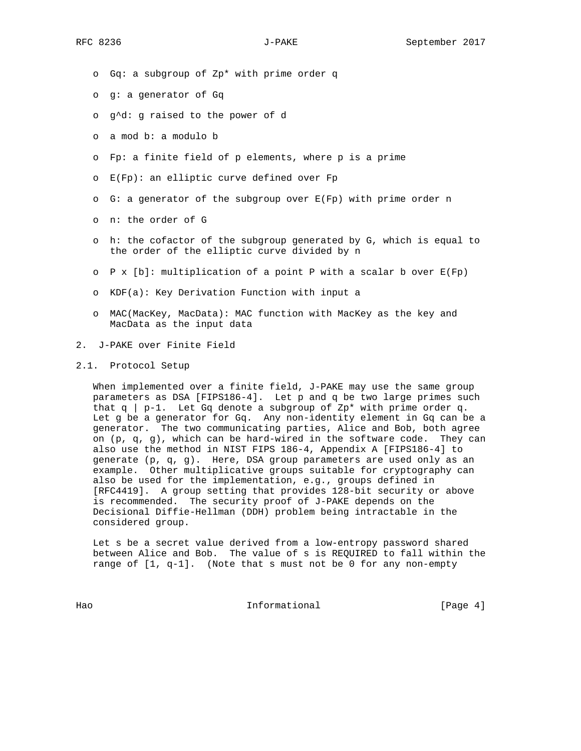- o Gq: a subgroup of Zp\* with prime order q
- o g: a generator of Gq
- o g^d: g raised to the power of d
- o a mod b: a modulo b
- o Fp: a finite field of p elements, where p is a prime
- o E(Fp): an elliptic curve defined over Fp
- o G: a generator of the subgroup over E(Fp) with prime order n
- o n: the order of G
- o h: the cofactor of the subgroup generated by G, which is equal to the order of the elliptic curve divided by n
- o P x [b]: multiplication of a point P with a scalar b over E(Fp)
- o KDF(a): Key Derivation Function with input a
- o MAC(MacKey, MacData): MAC function with MacKey as the key and MacData as the input data
- 2. J-PAKE over Finite Field
- 2.1. Protocol Setup

When implemented over a finite field, J-PAKE may use the same group parameters as DSA [FIPS186-4]. Let p and q be two large primes such that  $q \mid p-1$ . Let Gq denote a subgroup of Zp\* with prime order q. Let g be a generator for Gq. Any non-identity element in Gq can be a generator. The two communicating parties, Alice and Bob, both agree on  $(p, q, g)$ , which can be hard-wired in the software code. They can also use the method in NIST FIPS 186-4, Appendix A [FIPS186-4] to generate (p, q, g). Here, DSA group parameters are used only as an example. Other multiplicative groups suitable for cryptography can also be used for the implementation, e.g., groups defined in [RFC4419]. A group setting that provides 128-bit security or above is recommended. The security proof of J-PAKE depends on the Decisional Diffie-Hellman (DDH) problem being intractable in the considered group.

 Let s be a secret value derived from a low-entropy password shared between Alice and Bob. The value of s is REQUIRED to fall within the range of  $[1, q-1]$ . (Note that s must not be 0 for any non-empty

Hao **Informational** Informational (Page 4)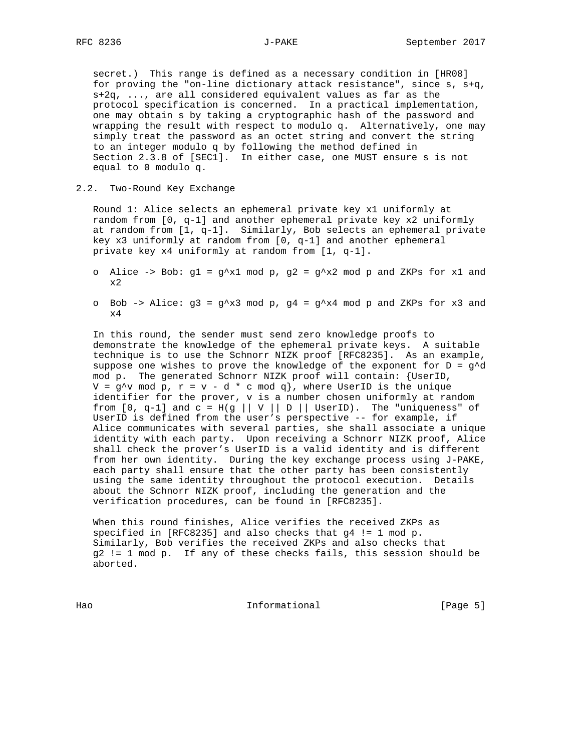secret.) This range is defined as a necessary condition in [HR08] for proving the "on-line dictionary attack resistance", since s, s+q, s+2q, ..., are all considered equivalent values as far as the protocol specification is concerned. In a practical implementation, one may obtain s by taking a cryptographic hash of the password and wrapping the result with respect to modulo q. Alternatively, one may simply treat the password as an octet string and convert the string to an integer modulo q by following the method defined in Section 2.3.8 of [SEC1]. In either case, one MUST ensure s is not equal to 0 modulo q.

## 2.2. Two-Round Key Exchange

 Round 1: Alice selects an ephemeral private key x1 uniformly at random from [0, q-1] and another ephemeral private key x2 uniformly at random from [1, q-1]. Similarly, Bob selects an ephemeral private key x3 uniformly at random from [0, q-1] and another ephemeral private key x4 uniformly at random from [1, q-1].

- o Alice -> Bob:  $g1 = g^x x1 \mod p$ ,  $g2 = g^x x2 \mod p$  and ZKPs for x1 and x2
- o Bob -> Alice:  $g3 = g^x x3 \mod p$ ,  $g4 = g^x x4 \mod p$  and ZKPs for x3 and  $\times 4$

 In this round, the sender must send zero knowledge proofs to demonstrate the knowledge of the ephemeral private keys. A suitable technique is to use the Schnorr NIZK proof [RFC8235]. As an example, suppose one wishes to prove the knowledge of the exponent for  $D = g^d$  mod p. The generated Schnorr NIZK proof will contain: {UserID,  $V = g^{\wedge}v \mod p$ ,  $r = v - d * c \mod q$ , where UserID is the unique identifier for the prover, v is a number chosen uniformly at random from  $[0, q-1]$  and  $c = H(q || V || D ||$  UserID). The "uniqueness" of UserID is defined from the user's perspective -- for example, if Alice communicates with several parties, she shall associate a unique identity with each party. Upon receiving a Schnorr NIZK proof, Alice shall check the prover's UserID is a valid identity and is different from her own identity. During the key exchange process using J-PAKE, each party shall ensure that the other party has been consistently using the same identity throughout the protocol execution. Details about the Schnorr NIZK proof, including the generation and the verification procedures, can be found in [RFC8235].

 When this round finishes, Alice verifies the received ZKPs as specified in [RFC8235] and also checks that g4 != 1 mod p. Similarly, Bob verifies the received ZKPs and also checks that g2 != 1 mod p. If any of these checks fails, this session should be aborted.

Hao Informational [Page 5]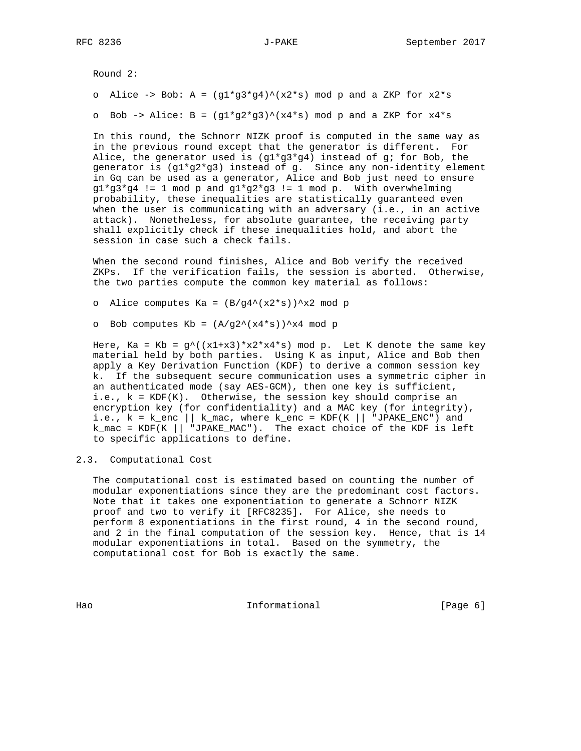Round 2:

o Alice -> Bob: A =  $(g1*g3*g4)^{\wedge}(x2*s)$  mod p and a ZKP for  $x2*s$ 

o Bob -> Alice:  $B = (g1*g2*g3)^{\wedge}(x4*s) \mod p$  and a ZKP for  $x4*s$ 

 In this round, the Schnorr NIZK proof is computed in the same way as in the previous round except that the generator is different. For Alice, the generator used is  $(g1*g3*g4)$  instead of g; for Bob, the generator is (g1\*g2\*g3) instead of g. Since any non-identity element in Gq can be used as a generator, Alice and Bob just need to ensure  $g1*g3*g4$  != 1 mod p and  $g1*g2*g3$  != 1 mod p. With overwhelming probability, these inequalities are statistically guaranteed even when the user is communicating with an adversary (i.e., in an active attack). Nonetheless, for absolute guarantee, the receiving party shall explicitly check if these inequalities hold, and abort the session in case such a check fails.

 When the second round finishes, Alice and Bob verify the received ZKPs. If the verification fails, the session is aborted. Otherwise, the two parties compute the common key material as follows:

o Alice computes Ka =  $(B/g4^(x2*s))^2x2 \text{ mod } p$ 

o Bob computes  $Kb = (A/g2^*(x4*s))^2x4 \text{ mod }p$ 

Here, Ka = Kb =  $g^{\wedge}$ ((x1+x3)\*x2\*x4\*s) mod p. Let K denote the same key material held by both parties. Using K as input, Alice and Bob then apply a Key Derivation Function (KDF) to derive a common session key k. If the subsequent secure communication uses a symmetric cipher in an authenticated mode (say AES-GCM), then one key is sufficient, i.e., k = KDF(K). Otherwise, the session key should comprise an encryption key (for confidentiality) and a MAC key (for integrity), i.e.,  $k = k_{enc} \mid k_{mac}$ , where  $k_{enc} = KDF(K \mid m_{JPAKE\_ENC})$  and  $k\_mac = KDF(K || || JPARE_MAC" )$ . The exact choice of the KDF is left to specific applications to define.

2.3. Computational Cost

 The computational cost is estimated based on counting the number of modular exponentiations since they are the predominant cost factors. Note that it takes one exponentiation to generate a Schnorr NIZK proof and two to verify it [RFC8235]. For Alice, she needs to perform 8 exponentiations in the first round, 4 in the second round, and 2 in the final computation of the session key. Hence, that is 14 modular exponentiations in total. Based on the symmetry, the computational cost for Bob is exactly the same.

Hao **Informational Informational** [Page 6]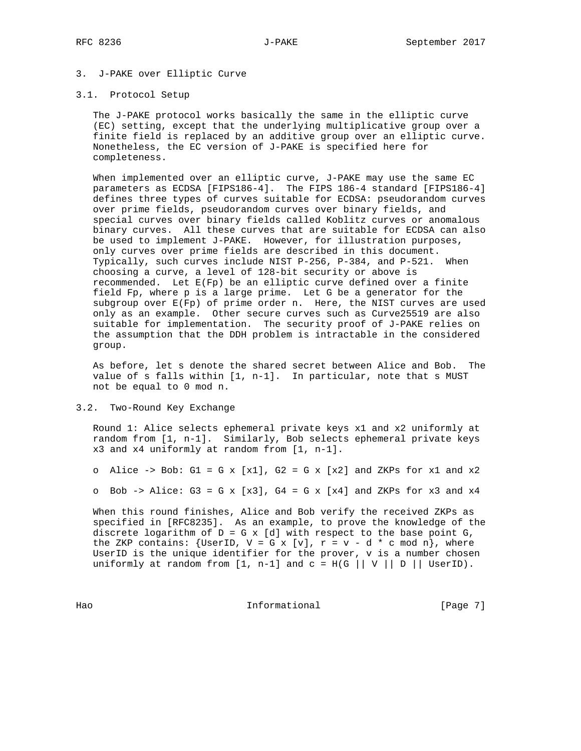## 3. J-PAKE over Elliptic Curve

## 3.1. Protocol Setup

 The J-PAKE protocol works basically the same in the elliptic curve (EC) setting, except that the underlying multiplicative group over a finite field is replaced by an additive group over an elliptic curve. Nonetheless, the EC version of J-PAKE is specified here for completeness.

When implemented over an elliptic curve, J-PAKE may use the same EC parameters as ECDSA [FIPS186-4]. The FIPS 186-4 standard [FIPS186-4] defines three types of curves suitable for ECDSA: pseudorandom curves over prime fields, pseudorandom curves over binary fields, and special curves over binary fields called Koblitz curves or anomalous binary curves. All these curves that are suitable for ECDSA can also be used to implement J-PAKE. However, for illustration purposes, only curves over prime fields are described in this document. Typically, such curves include NIST P-256, P-384, and P-521. When choosing a curve, a level of 128-bit security or above is recommended. Let  $E(Fp)$  be an elliptic curve defined over a finite field Fp, where p is a large prime. Let G be a generator for the subgroup over E(Fp) of prime order n. Here, the NIST curves are used only as an example. Other secure curves such as Curve25519 are also suitable for implementation. The security proof of J-PAKE relies on the assumption that the DDH problem is intractable in the considered group.

 As before, let s denote the shared secret between Alice and Bob. The value of s falls within [1, n-1]. In particular, note that s MUST not be equal to 0 mod n.

#### 3.2. Two-Round Key Exchange

 Round 1: Alice selects ephemeral private keys x1 and x2 uniformly at random from [1, n-1]. Similarly, Bob selects ephemeral private keys x3 and x4 uniformly at random from [1, n-1].

o Alice -> Bob: G1 = G x [x1], G2 = G x [x2] and ZKPs for x1 and  $x2$ 

o Bob -> Alice:  $G3 = G \times [x3]$ ,  $G4 = G \times [x4]$  and ZKPs for x3 and x4

 When this round finishes, Alice and Bob verify the received ZKPs as specified in [RFC8235]. As an example, to prove the knowledge of the discrete logarithm of  $D = G \times [d]$  with respect to the base point  $G$ , the ZKP contains: {UserID,  $V = G \times [v]$ ,  $r = v - d * c \mod n$ }, where UserID is the unique identifier for the prover, v is a number chosen uniformly at random from  $[1, n-1]$  and  $c = H(G || V || D ||$  UserID).

Hao Informational [Page 7]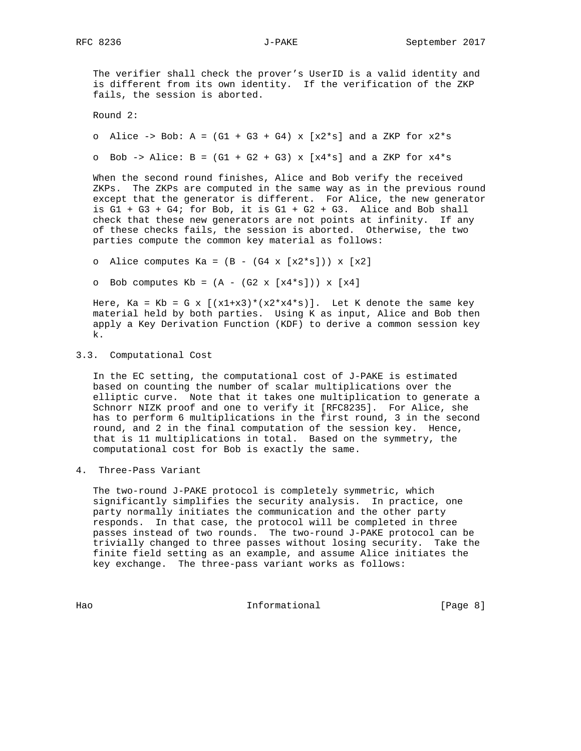The verifier shall check the prover's UserID is a valid identity and is different from its own identity. If the verification of the ZKP fails, the session is aborted.

Round 2:

o Alice -> Bob: A =  $(G1 + G3 + G4)$  x  $[x2*s]$  and a ZKP for  $x2*s$ 

o Bob -> Alice:  $B = (G1 + G2 + G3) \times [x4*s]$  and a ZKP for  $x4*s$ 

 When the second round finishes, Alice and Bob verify the received ZKPs. The ZKPs are computed in the same way as in the previous round except that the generator is different. For Alice, the new generator is  $G1 + G3 + G4$ ; for Bob, it is  $G1 + G2 + G3$ . Alice and Bob shall check that these new generators are not points at infinity. If any of these checks fails, the session is aborted. Otherwise, the two parties compute the common key material as follows:

o Alice computes Ka =  $(B - (G4 \times [x2*s])) \times [x2]$ 

o Bob computes  $Kb = (A - (G2 \times [x4*s])) \times [x4]$ 

Here, Ka = Kb = G x  $[(x1+x3)*(x2*x4*s)].$  Let K denote the same key material held by both parties. Using K as input, Alice and Bob then apply a Key Derivation Function (KDF) to derive a common session key k.

## 3.3. Computational Cost

 In the EC setting, the computational cost of J-PAKE is estimated based on counting the number of scalar multiplications over the elliptic curve. Note that it takes one multiplication to generate a Schnorr NIZK proof and one to verify it [RFC8235]. For Alice, she has to perform 6 multiplications in the first round, 3 in the second round, and 2 in the final computation of the session key. Hence, that is 11 multiplications in total. Based on the symmetry, the computational cost for Bob is exactly the same.

4. Three-Pass Variant

 The two-round J-PAKE protocol is completely symmetric, which significantly simplifies the security analysis. In practice, one party normally initiates the communication and the other party responds. In that case, the protocol will be completed in three passes instead of two rounds. The two-round J-PAKE protocol can be trivially changed to three passes without losing security. Take the finite field setting as an example, and assume Alice initiates the key exchange. The three-pass variant works as follows:

Hao Informational [Page 8]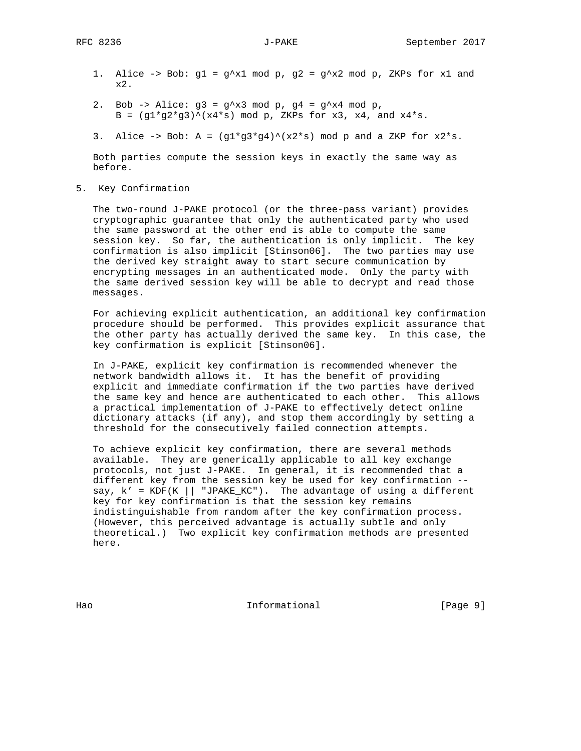- 1. Alice -> Bob:  $g1 = g^x x1 \mod p$ ,  $g2 = g^x x2 \mod p$ , ZKPs for x1 and x2.
- 2. Bob -> Alice:  $g3 = g^x x3 \mod p$ ,  $g4 = g^x x4 \mod p$ , B =  $(g1*g2*g3)^(x4*s) \mod p$ , ZKPs for x3, x4, and x4\*s.
- 3. Alice -> Bob: A =  $(g1*g3*g4)^*(x2*s)$  mod p and a ZKP for  $x2*s$ .

 Both parties compute the session keys in exactly the same way as before.

5. Key Confirmation

 The two-round J-PAKE protocol (or the three-pass variant) provides cryptographic guarantee that only the authenticated party who used the same password at the other end is able to compute the same session key. So far, the authentication is only implicit. The key confirmation is also implicit [Stinson06]. The two parties may use the derived key straight away to start secure communication by encrypting messages in an authenticated mode. Only the party with the same derived session key will be able to decrypt and read those messages.

 For achieving explicit authentication, an additional key confirmation procedure should be performed. This provides explicit assurance that the other party has actually derived the same key. In this case, the key confirmation is explicit [Stinson06].

 In J-PAKE, explicit key confirmation is recommended whenever the network bandwidth allows it. It has the benefit of providing explicit and immediate confirmation if the two parties have derived the same key and hence are authenticated to each other. This allows a practical implementation of J-PAKE to effectively detect online dictionary attacks (if any), and stop them accordingly by setting a threshold for the consecutively failed connection attempts.

 To achieve explicit key confirmation, there are several methods available. They are generically applicable to all key exchange protocols, not just J-PAKE. In general, it is recommended that a different key from the session key be used for key confirmation - say,  $k' = KDF(K || "JPAKE_KC").$  The advantage of using a different key for key confirmation is that the session key remains indistinguishable from random after the key confirmation process. (However, this perceived advantage is actually subtle and only theoretical.) Two explicit key confirmation methods are presented here.

Hao Informational (Page 9)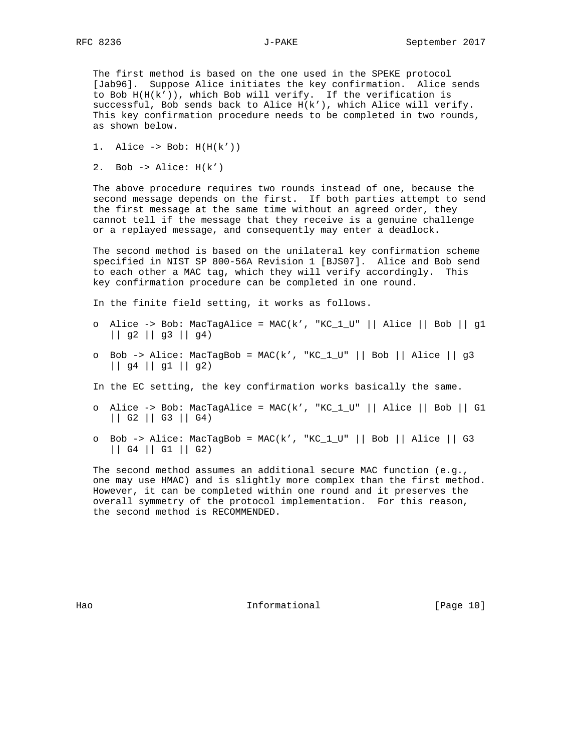The first method is based on the one used in the SPEKE protocol [Jab96]. Suppose Alice initiates the key confirmation. Alice sends to Bob  $H(H(k'))$ , which Bob will verify. If the verification is successful, Bob sends back to Alice H(k'), which Alice will verify. This key confirmation procedure needs to be completed in two rounds, as shown below.

- 1. Alice  $\rightarrow$  Bob:  $H(H(k'))$
- 2. Bob  $\rightarrow$  Alice:  $H(k')$

 The above procedure requires two rounds instead of one, because the second message depends on the first. If both parties attempt to send the first message at the same time without an agreed order, they cannot tell if the message that they receive is a genuine challenge or a replayed message, and consequently may enter a deadlock.

 The second method is based on the unilateral key confirmation scheme specified in NIST SP 800-56A Revision 1 [BJS07]. Alice and Bob send to each other a MAC tag, which they will verify accordingly. This key confirmation procedure can be completed in one round.

In the finite field setting, it works as follows.

- o Alice -> Bob: MacTagAlice = MAC(k', "KC\_1\_U" || Alice || Bob || g1 || g2 || g3 || g4)
- o Bob -> Alice: MacTagBob = MAC(k', "KC\_1\_U" || Bob || Alice || g3 || g4 || g1 || g2)
- In the EC setting, the key confirmation works basically the same.
- o Alice -> Bob: MacTagAlice = MAC(k', "KC\_1\_U" || Alice || Bob || G1 || G2 || G3 || G4)
- o Bob -> Alice: MacTagBob = MAC(k', "KC\_1\_U" || Bob || Alice || G3 || G4 || G1 || G2)

 The second method assumes an additional secure MAC function (e.g., one may use HMAC) and is slightly more complex than the first method. However, it can be completed within one round and it preserves the overall symmetry of the protocol implementation. For this reason, the second method is RECOMMENDED.

Hao **Informational** [Page 10]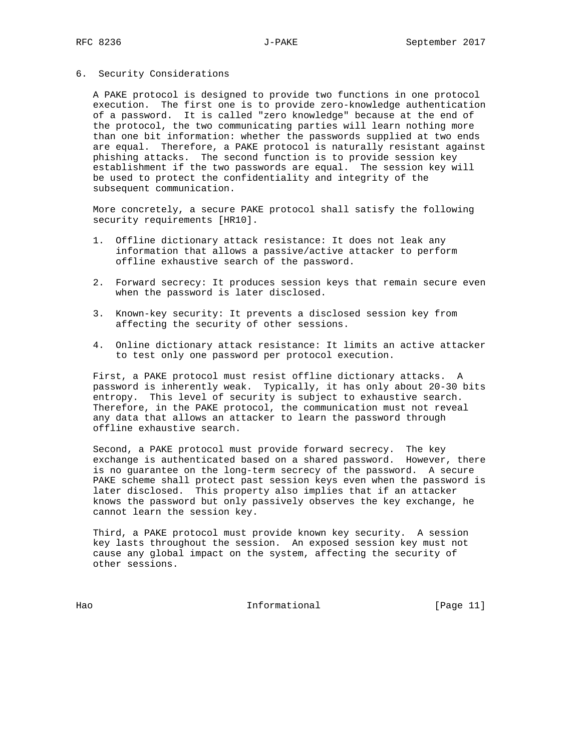#### 6. Security Considerations

 A PAKE protocol is designed to provide two functions in one protocol execution. The first one is to provide zero-knowledge authentication of a password. It is called "zero knowledge" because at the end of the protocol, the two communicating parties will learn nothing more than one bit information: whether the passwords supplied at two ends are equal. Therefore, a PAKE protocol is naturally resistant against phishing attacks. The second function is to provide session key establishment if the two passwords are equal. The session key will be used to protect the confidentiality and integrity of the subsequent communication.

 More concretely, a secure PAKE protocol shall satisfy the following security requirements [HR10].

- 1. Offline dictionary attack resistance: It does not leak any information that allows a passive/active attacker to perform offline exhaustive search of the password.
- 2. Forward secrecy: It produces session keys that remain secure even when the password is later disclosed.
- 3. Known-key security: It prevents a disclosed session key from affecting the security of other sessions.
- 4. Online dictionary attack resistance: It limits an active attacker to test only one password per protocol execution.

 First, a PAKE protocol must resist offline dictionary attacks. A password is inherently weak. Typically, it has only about 20-30 bits entropy. This level of security is subject to exhaustive search. Therefore, in the PAKE protocol, the communication must not reveal any data that allows an attacker to learn the password through offline exhaustive search.

 Second, a PAKE protocol must provide forward secrecy. The key exchange is authenticated based on a shared password. However, there is no guarantee on the long-term secrecy of the password. A secure PAKE scheme shall protect past session keys even when the password is later disclosed. This property also implies that if an attacker knows the password but only passively observes the key exchange, he cannot learn the session key.

 Third, a PAKE protocol must provide known key security. A session key lasts throughout the session. An exposed session key must not cause any global impact on the system, affecting the security of other sessions.

Hao Informational [Page 11]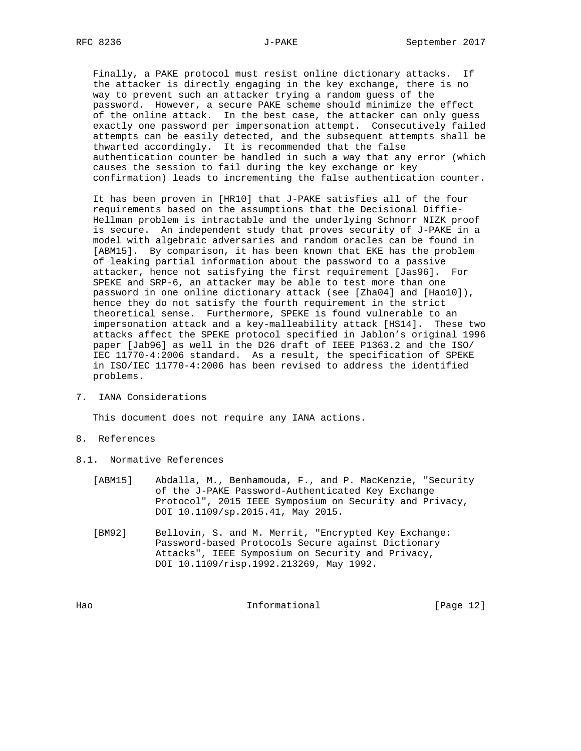Finally, a PAKE protocol must resist online dictionary attacks. If the attacker is directly engaging in the key exchange, there is no way to prevent such an attacker trying a random guess of the password. However, a secure PAKE scheme should minimize the effect of the online attack. In the best case, the attacker can only guess exactly one password per impersonation attempt. Consecutively failed attempts can be easily detected, and the subsequent attempts shall be thwarted accordingly. It is recommended that the false authentication counter be handled in such a way that any error (which causes the session to fail during the key exchange or key confirmation) leads to incrementing the false authentication counter.

 It has been proven in [HR10] that J-PAKE satisfies all of the four requirements based on the assumptions that the Decisional Diffie- Hellman problem is intractable and the underlying Schnorr NIZK proof is secure. An independent study that proves security of J-PAKE in a model with algebraic adversaries and random oracles can be found in [ABM15]. By comparison, it has been known that EKE has the problem of leaking partial information about the password to a passive attacker, hence not satisfying the first requirement [Jas96]. For SPEKE and SRP-6, an attacker may be able to test more than one password in one online dictionary attack (see [Zha04] and [Hao10]), hence they do not satisfy the fourth requirement in the strict theoretical sense. Furthermore, SPEKE is found vulnerable to an impersonation attack and a key-malleability attack [HS14]. These two attacks affect the SPEKE protocol specified in Jablon's original 1996 paper [Jab96] as well in the D26 draft of IEEE P1363.2 and the ISO/ IEC 11770-4:2006 standard. As a result, the specification of SPEKE in ISO/IEC 11770-4:2006 has been revised to address the identified problems.

7. IANA Considerations

This document does not require any IANA actions.

- 8. References
- 8.1. Normative References
	- [ABM15] Abdalla, M., Benhamouda, F., and P. MacKenzie, "Security of the J-PAKE Password-Authenticated Key Exchange Protocol", 2015 IEEE Symposium on Security and Privacy, DOI 10.1109/sp.2015.41, May 2015.
	- [BM92] Bellovin, S. and M. Merrit, "Encrypted Key Exchange: Password-based Protocols Secure against Dictionary Attacks", IEEE Symposium on Security and Privacy, DOI 10.1109/risp.1992.213269, May 1992.

Hao Informational [Page 12]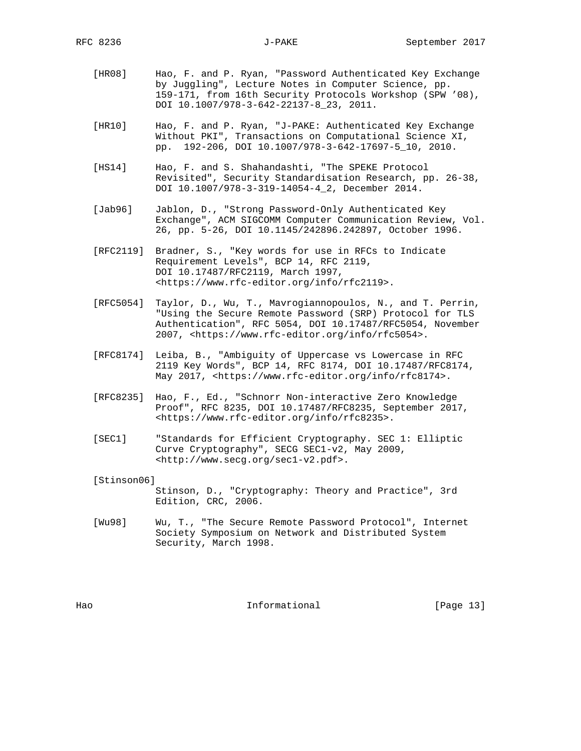- [HR08] Hao, F. and P. Ryan, "Password Authenticated Key Exchange by Juggling", Lecture Notes in Computer Science, pp. 159-171, from 16th Security Protocols Workshop (SPW '08), DOI 10.1007/978-3-642-22137-8\_23, 2011.
- [HR10] Hao, F. and P. Ryan, "J-PAKE: Authenticated Key Exchange Without PKI", Transactions on Computational Science XI, pp. 192-206, DOI 10.1007/978-3-642-17697-5\_10, 2010.
- [HS14] Hao, F. and S. Shahandashti, "The SPEKE Protocol Revisited", Security Standardisation Research, pp. 26-38, DOI 10.1007/978-3-319-14054-4\_2, December 2014.
- [Jab96] Jablon, D., "Strong Password-Only Authenticated Key Exchange", ACM SIGCOMM Computer Communication Review, Vol. 26, pp. 5-26, DOI 10.1145/242896.242897, October 1996.
- [RFC2119] Bradner, S., "Key words for use in RFCs to Indicate Requirement Levels", BCP 14, RFC 2119, DOI 10.17487/RFC2119, March 1997, <https://www.rfc-editor.org/info/rfc2119>.
- [RFC5054] Taylor, D., Wu, T., Mavrogiannopoulos, N., and T. Perrin, "Using the Secure Remote Password (SRP) Protocol for TLS Authentication", RFC 5054, DOI 10.17487/RFC5054, November 2007, <https://www.rfc-editor.org/info/rfc5054>.
- [RFC8174] Leiba, B., "Ambiguity of Uppercase vs Lowercase in RFC 2119 Key Words", BCP 14, RFC 8174, DOI 10.17487/RFC8174, May 2017, <https://www.rfc-editor.org/info/rfc8174>.
- [RFC8235] Hao, F., Ed., "Schnorr Non-interactive Zero Knowledge Proof", RFC 8235, DOI 10.17487/RFC8235, September 2017, <https://www.rfc-editor.org/info/rfc8235>.
- [SEC1] "Standards for Efficient Cryptography. SEC 1: Elliptic Curve Cryptography", SECG SEC1-v2, May 2009, <http://www.secg.org/sec1-v2.pdf>.

#### [Stinson06]

 Stinson, D., "Cryptography: Theory and Practice", 3rd Edition, CRC, 2006.

 [Wu98] Wu, T., "The Secure Remote Password Protocol", Internet Society Symposium on Network and Distributed System Security, March 1998.

Hao **Informational** [Page 13]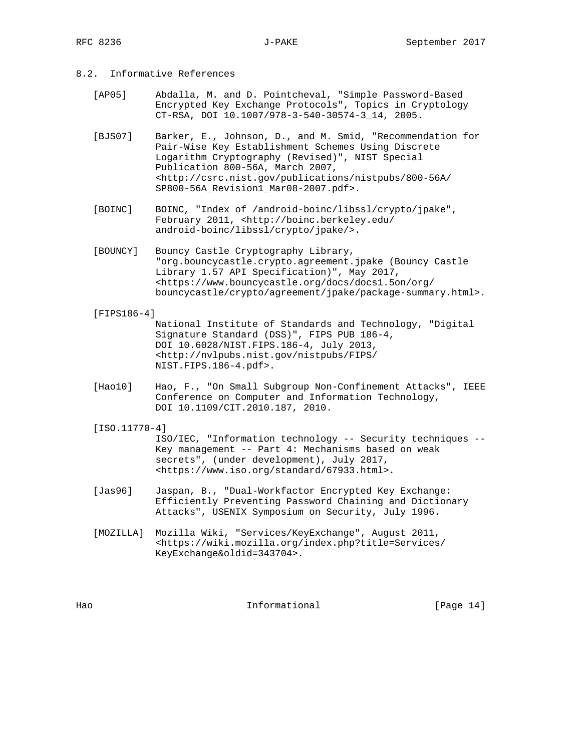# 8.2. Informative References

- [AP05] Abdalla, M. and D. Pointcheval, "Simple Password-Based Encrypted Key Exchange Protocols", Topics in Cryptology CT-RSA, DOI 10.1007/978-3-540-30574-3\_14, 2005.
- [BJS07] Barker, E., Johnson, D., and M. Smid, "Recommendation for Pair-Wise Key Establishment Schemes Using Discrete Logarithm Cryptography (Revised)", NIST Special Publication 800-56A, March 2007, <http://csrc.nist.gov/publications/nistpubs/800-56A/ SP800-56A\_Revision1\_Mar08-2007.pdf>.
- [BOINC] BOINC, "Index of /android-boinc/libssl/crypto/jpake", February 2011, <http://boinc.berkeley.edu/ android-boinc/libssl/crypto/jpake/>.
- [BOUNCY] Bouncy Castle Cryptography Library, "org.bouncycastle.crypto.agreement.jpake (Bouncy Castle Library 1.57 API Specification)", May 2017, <https://www.bouncycastle.org/docs/docs1.5on/org/ bouncycastle/crypto/agreement/jpake/package-summary.html>.
- [FIPS186-4] National Institute of Standards and Technology, "Digital Signature Standard (DSS)", FIPS PUB 186-4, DOI 10.6028/NIST.FIPS.186-4, July 2013, <http://nvlpubs.nist.gov/nistpubs/FIPS/ NIST.FIPS.186-4.pdf>.
- [Hao10] Hao, F., "On Small Subgroup Non-Confinement Attacks", IEEE Conference on Computer and Information Technology, DOI 10.1109/CIT.2010.187, 2010.

#### [ISO.11770-4]

 ISO/IEC, "Information technology -- Security techniques -- Key management -- Part 4: Mechanisms based on weak secrets", (under development), July 2017, <https://www.iso.org/standard/67933.html>.

- [Jas96] Jaspan, B., "Dual-Workfactor Encrypted Key Exchange: Efficiently Preventing Password Chaining and Dictionary Attacks", USENIX Symposium on Security, July 1996.
- [MOZILLA] Mozilla Wiki, "Services/KeyExchange", August 2011, <https://wiki.mozilla.org/index.php?title=Services/ KeyExchange&oldid=343704>.

Hao **Informational** [Page 14]